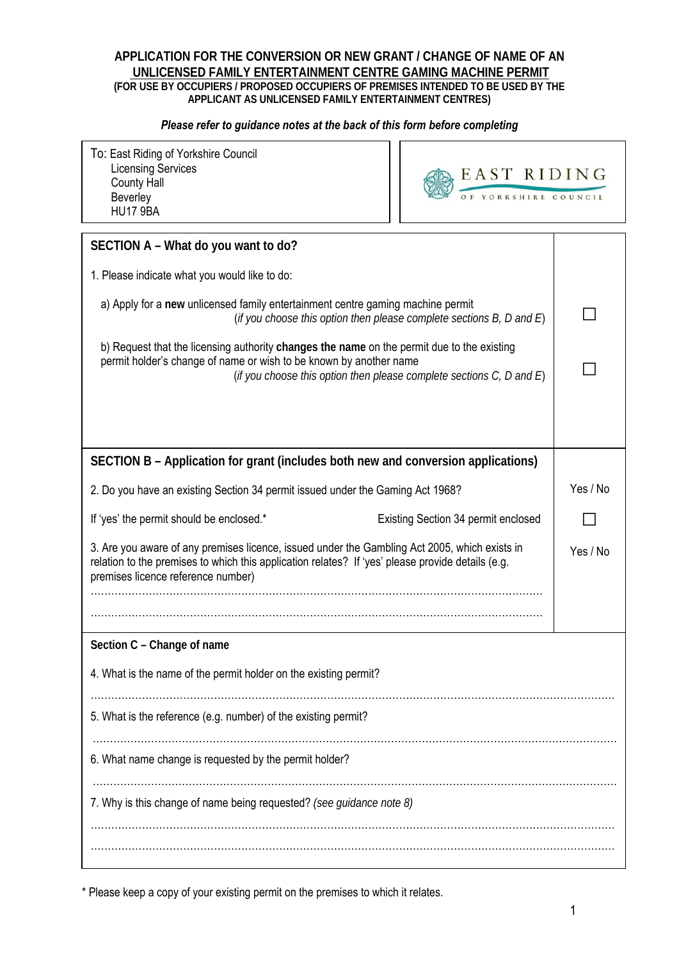# **APPLICATION FOR THE CONVERSION OR NEW GRANT / CHANGE OF NAME OF AN UNLICENSED FAMILY ENTERTAINMENT CENTRE GAMING MACHINE PERMIT (FOR USE BY OCCUPIERS / PROPOSED OCCUPIERS OF PREMISES INTENDED TO BE USED BY THE APPLICANT AS UNLICENSED FAMILY ENTERTAINMENT CENTRES)**

#### *Please refer to guidance notes at the back of this form before completing*

| To: East Riding of Yorkshire Council<br><b>Licensing Services</b><br><b>County Hall</b><br>Beverley<br><b>HU17 9BA</b>                                                                                                                           | EAST RIDING<br>OF YORKSHIRE COUNCIL |          |
|--------------------------------------------------------------------------------------------------------------------------------------------------------------------------------------------------------------------------------------------------|-------------------------------------|----------|
| SECTION A - What do you want to do?                                                                                                                                                                                                              |                                     |          |
| 1. Please indicate what you would like to do:                                                                                                                                                                                                    |                                     |          |
| a) Apply for a new unlicensed family entertainment centre gaming machine permit<br>(if you choose this option then please complete sections $B$ , $D$ and $E$ )                                                                                  |                                     |          |
| b) Request that the licensing authority changes the name on the permit due to the existing<br>permit holder's change of name or wish to be known by another name<br>(if you choose this option then please complete sections $C$ , $D$ and $E$ ) |                                     |          |
|                                                                                                                                                                                                                                                  |                                     |          |
| SECTION B - Application for grant (includes both new and conversion applications)                                                                                                                                                                |                                     |          |
| 2. Do you have an existing Section 34 permit issued under the Gaming Act 1968?                                                                                                                                                                   |                                     | Yes / No |
| If 'yes' the permit should be enclosed.*                                                                                                                                                                                                         | Existing Section 34 permit enclosed |          |
| 3. Are you aware of any premises licence, issued under the Gambling Act 2005, which exists in<br>relation to the premises to which this application relates? If 'yes' please provide details (e.g.<br>premises licence reference number)         |                                     | Yes / No |
|                                                                                                                                                                                                                                                  |                                     |          |
|                                                                                                                                                                                                                                                  |                                     |          |
| Section C - Change of name                                                                                                                                                                                                                       |                                     |          |
| 4. What is the name of the permit holder on the existing permit?                                                                                                                                                                                 |                                     |          |
| 5. What is the reference (e.g. number) of the existing permit?                                                                                                                                                                                   |                                     |          |
| 6. What name change is requested by the permit holder?                                                                                                                                                                                           |                                     |          |
| 7. Why is this change of name being requested? (see guidance note 8)                                                                                                                                                                             |                                     |          |
|                                                                                                                                                                                                                                                  |                                     |          |

\* Please keep a copy of your existing permit on the premises to which it relates.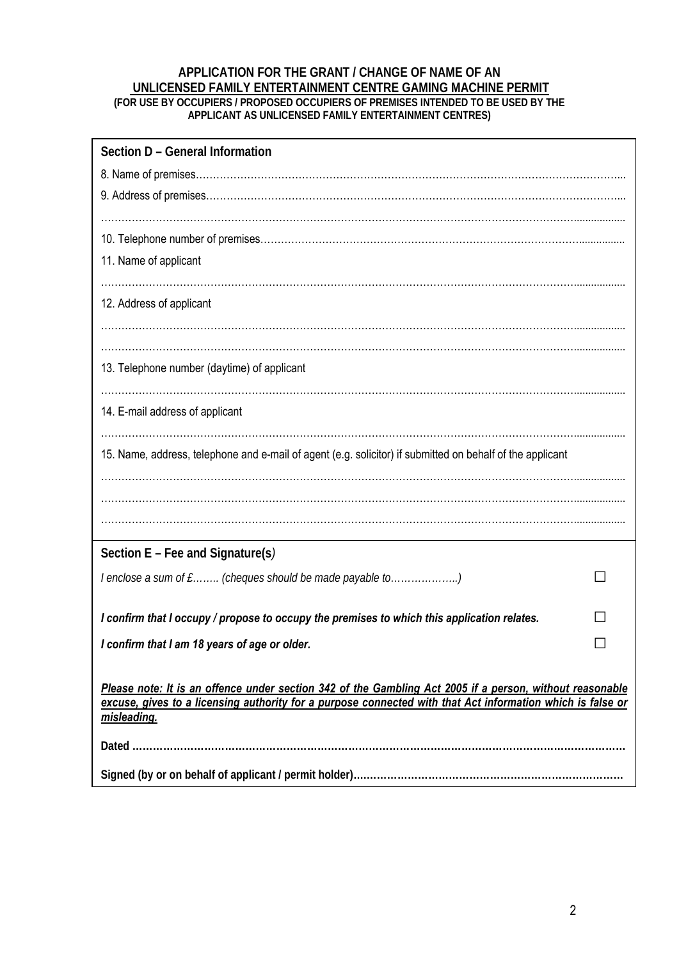# **APPLICATION FOR THE GRANT / CHANGE OF NAME OF AN UNLICENSED FAMILY ENTERTAINMENT CENTRE GAMING MACHINE PERMIT (FOR USE BY OCCUPIERS / PROPOSED OCCUPIERS OF PREMISES INTENDED TO BE USED BY THE**

**APPLICANT AS UNLICENSED FAMILY ENTERTAINMENT CENTRES)** 

| Section D - General Information                                                                                                                                                                                        |  |
|------------------------------------------------------------------------------------------------------------------------------------------------------------------------------------------------------------------------|--|
|                                                                                                                                                                                                                        |  |
|                                                                                                                                                                                                                        |  |
|                                                                                                                                                                                                                        |  |
|                                                                                                                                                                                                                        |  |
| 11. Name of applicant                                                                                                                                                                                                  |  |
|                                                                                                                                                                                                                        |  |
| 12. Address of applicant                                                                                                                                                                                               |  |
|                                                                                                                                                                                                                        |  |
|                                                                                                                                                                                                                        |  |
| 13. Telephone number (daytime) of applicant                                                                                                                                                                            |  |
|                                                                                                                                                                                                                        |  |
| 14. E-mail address of applicant                                                                                                                                                                                        |  |
| 15. Name, address, telephone and e-mail of agent (e.g. solicitor) if submitted on behalf of the applicant                                                                                                              |  |
|                                                                                                                                                                                                                        |  |
|                                                                                                                                                                                                                        |  |
|                                                                                                                                                                                                                        |  |
|                                                                                                                                                                                                                        |  |
| Section $E$ – Fee and Signature(s)                                                                                                                                                                                     |  |
| I enclose a sum of £ (cheques should be made payable to)                                                                                                                                                               |  |
|                                                                                                                                                                                                                        |  |
| I confirm that I occupy / propose to occupy the premises to which this application relates.                                                                                                                            |  |
| I confirm that I am 18 years of age or older.                                                                                                                                                                          |  |
|                                                                                                                                                                                                                        |  |
| Please note: It is an offence under section 342 of the Gambling Act 2005 if a person, without reasonable<br>excuse, gives to a licensing authority for a purpose connected with that Act information which is false or |  |
| misleading.                                                                                                                                                                                                            |  |
|                                                                                                                                                                                                                        |  |
|                                                                                                                                                                                                                        |  |
|                                                                                                                                                                                                                        |  |